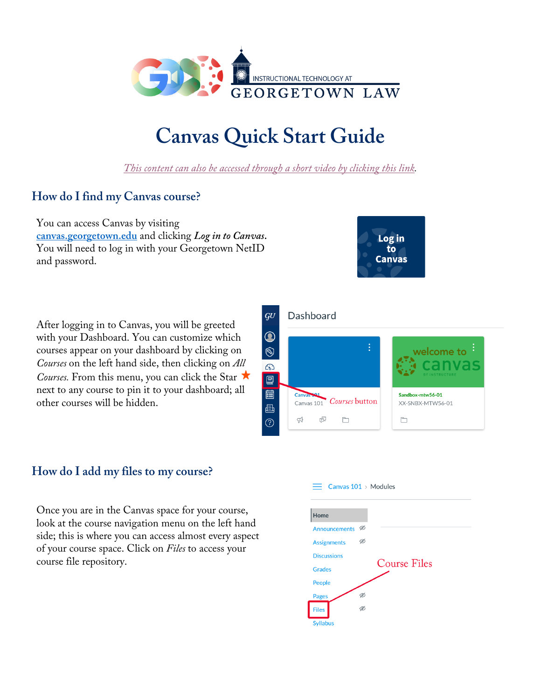

# **Canvas Quick Start Guide**

*This content can also be accessed through a short video by clicking this link.* 

# **How do I find my Canvas course?**

You can access Canvas by visiting **canvas.georgetown.edu** and clicking *Log in to Canvas***.**  You will need to log in with your Georgetown NetID and password.



After logging in to Canvas, you will be greeted with your Dashboard. You can customize which courses appear on your dashboard by clicking on *Courses* on the left hand side, then clicking on *All Courses.* From this menu, you can click the Star ★ next to any course to pin it to your dashboard; all other courses will be hidden.

## **How do I add my files to my course?**

Once you are in the Canvas space for your course, look at the course navigation menu on the left hand side; this is where you can access almost every aspect of your course space. Click on *Files* to access your course file repository.



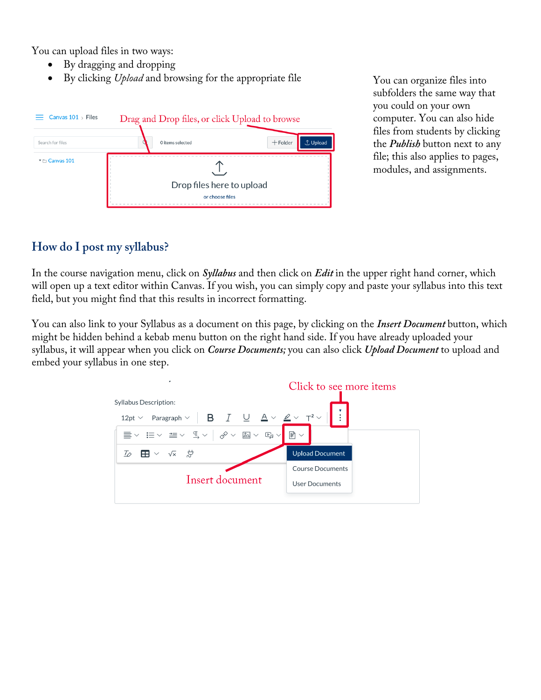You can upload files in two ways:

- By dragging and dropping
- By clicking *Upload* and browsing for the appropriate file You can organize files into



subfolders the same way that you could on your own computer. You can also hide files from students by clicking the *Publish* button next to any file; this also applies to pages, modules, and assignments.

## **How do I post my syllabus?**

In the course navigation menu, click on *Syllabus* and then click on *Edit* in the upper right hand corner, which will open up a text editor within Canvas. If you wish, you can simply copy and paste your syllabus into this text field, but you might find that this results in incorrect formatting.

You can also link to your Syllabus as a document on this page, by clicking on the *Insert Document* button, which might be hidden behind a kebab menu button on the right hand side. If you have already uploaded your syllabus, it will appear when you click on *Course Documents;* you can also click *Upload Document* to upload and embed your syllabus in one step.